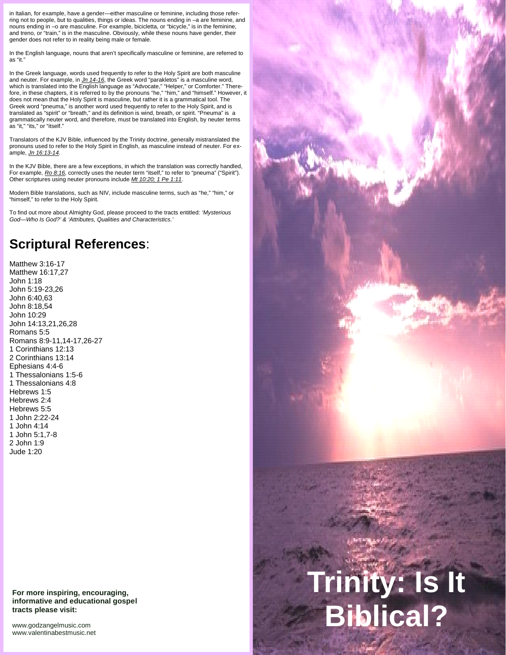in Italian, for example, have a gender—either masculine or feminine, including those referring not to people, but to qualities, things or ideas. The nouns ending in –a are feminine, and nouns ending in –o are masculine. For example, bicicletta, or "bicycle," is in the feminine, and treno, or "train," is in the masculine. Obviously, while these nouns have gender, their gender does not refer to in reality being male or female.

In the English language, nouns that aren't specifically masculine or feminine, are referred to as "it."

In the Greek language, words used frequently to refer to the Holy Spirit are both masculine and neuter. For example, in *Jn 14-16*, the Greek word "parakletos" is a masculine word, which is translated into the English language as "Advocate," "Helper," or Comforter." Therefore, in these chapters, it is referred to by the pronouns "he," "him," and "himself." However, it does not mean that the Holy Spirit is masculine, but rather it is a grammatical tool. The Greek word "pneuma," is another word used frequently to refer to the Holy Spirit, and is translated as "spirit" or "breath," and its definition is wind, breath, or spirit. "Pneuma" is a grammatically neuter word, and therefore, must be translated into English, by neuter terms as "it," "its," or "itself."

Translators of the KJV Bible, influenced by the Trinity doctrine, generally mistranslated the pronouns used to refer to the Holy Spirit in English, as masculine instead of neuter. For ex ample, *Jn 16:13-14.*

In the KJV Bible, there are a few exceptions, in which the translation was correctly handled, For example, *Ro 8:16*, correctly uses the neuter term "itself," to refer to "pneuma" ("Spirit"). Other scriptures using neuter pronouns include *Mt 10:20; 1 Pe 1:11.*

Modern Bible translations, such as NIV, include masculine terms, such as "he," "him," or "himself," to refer to the Holy Spirit.

To find out more about Almighty God, please proceed to the tracts entitled: *'Mysterious God*—*Who Is God?' & 'Attributes, Qualities and Characteristics.'*

## **Scriptural References**:

Matthew 3:16-17 Matthew 16:17,27 John 1:18 John 5:19-23,26 John 6:40,63 John 8:18,54 John 10:29 John 14:13,21,26,28 Romans 5:5 Romans 8:9-11,14-17,26-27 1 Corinthians 12:13 2 Corinthians 13:14 Ephesians 4:4-6 1 Thessalonians 1:5-6 1 Thessalonians 4:8 Hebrews 1:5 Hebrews 2:4 Hebrews 5:5 1 John 2:22-24 1 John 4:14 1 John 5:1,7-8 2 John 1:9 Jude 1:20

**For more inspiring, encouraging, informative and educational gospel tracts please visit:**

<www.godzangelmusic.com> <www.valentinabestmusic.net>